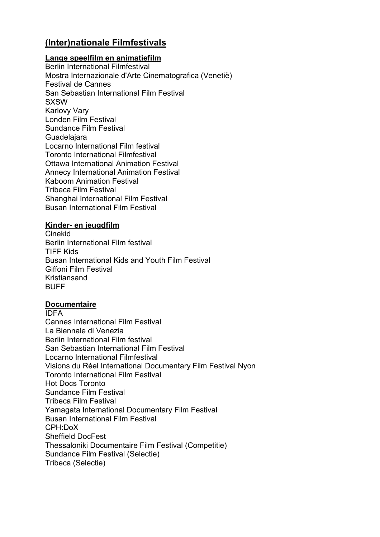# **(Inter)nationale Filmfestivals**

#### **Lange speelfilm en animatiefilm**

Berlin International Filmfestival Mostra Internazionale d'Arte Cinematografica (Venetië) Festival de Cannes San Sebastian International Film Festival **SXSW** Karlovy Vary Londen Film Festival Sundance Film Festival **Guadelajara** Locarno International Film festival Toronto International Filmfestival Ottawa International Animation Festival Annecy International Animation Festival Kaboom Animation Festival Tribeca Film Festival Shanghai International Film Festival Busan International Film Festival

#### **Kinder- en jeugdfilm**

Cinekid Berlin International Film festival TIFF Kids Busan International Kids and Youth Film Festival Giffoni Film Festival Kristiansand **BUFF** 

#### **Documentaire**

IDFA Cannes International Film Festival La Biennale di Venezia Berlin International Film festival San Sebastian International Film Festival Locarno International Filmfestival Visions du Réel International Documentary Film Festival Nyon Toronto International Film Festival Hot Docs Toronto Sundance Film Festival Tribeca Film Festival Yamagata International Documentary Film Festival Busan International Film Festival CPH:DoX Sheffield DocFest Thessaloniki Documentaire Film Festival (Competitie) Sundance Film Festival (Selectie) Tribeca (Selectie)